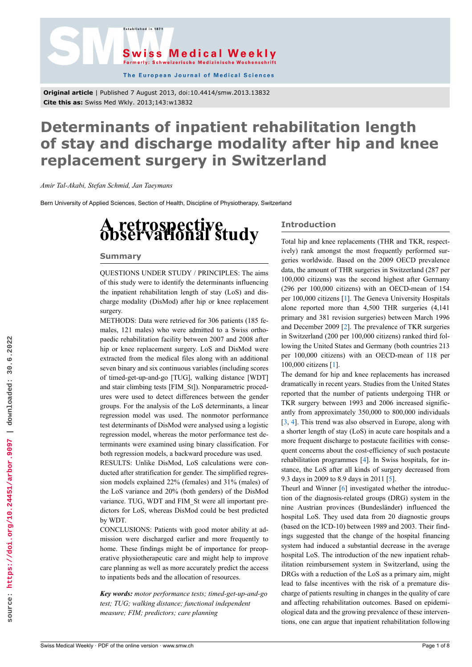



The European Journal of Medical Sciences

**Original article** | Published 7 August 2013, doi:10.4414/smw.2013.13832 **Cite this as:** Swiss Med Wkly. 2013;143:w13832

# **Determinants of inpatient rehabilitation length of stay and discharge modality after hip and knee replacement surgery in Switzerland**

*Amir Tal-Akabi, Stefan Schmid, Jan Taeymans*

Bern University of Applied Sciences, Section of Health, Discipline of Physiotherapy, Switzerland

# **<sup>A</sup> retrospective observational study**

# **Summary**

QUESTIONS UNDER STUDY / PRINCIPLES: The aims of this study were to identify the determinants influencing the inpatient rehabilitation length of stay (LoS) and discharge modality (DisMod) after hip or knee replacement surgery.

METHODS: Data were retrieved for 306 patients (185 females, 121 males) who were admitted to a Swiss orthopaedic rehabilitation facility between 2007 and 2008 after hip or knee replacement surgery. LoS and DisMod were extracted from the medical files along with an additional seven binary and six continuous variables (including scores of timed-get-up-and-go [TUG], walking distance [WDT] and stair climbing tests [FIM\_St]). Nonparametric procedures were used to detect differences between the gender groups. For the analysis of the LoS determinants, a linear regression model was used. The nonmotor performance test determinants of DisMod were analysed using a logistic regression model, whereas the motor performance test determinants were examined using binary classification. For both regression models, a backward procedure was used.

RESULTS: Unlike DisMod, LoS calculations were conducted after stratification for gender. The simplified regression models explained 22% (females) and 31% (males) of the LoS variance and 20% (both genders) of the DisMod variance. TUG, WDT and FIM\_St were all important predictors for LoS, whereas DisMod could be best predicted by WDT.

CONCLUSIONS: Patients with good motor ability at admission were discharged earlier and more frequently to home. These findings might be of importance for preoperative physiotherapeutic care and might help to improve care planning as well as more accurately predict the access to inpatients beds and the allocation of resources.

*Key words: motor performance tests; timed-get-up-and-go test; TUG; walking distance; functional independent measure; FIM; predictors; care planning*

# **Introduction**

Total hip and knee replacements (THR and TKR, respectively) rank amongst the most frequently performed surgeries worldwide. Based on the 2009 OECD prevalence data, the amount of THR surgeries in Switzerland (287 per 100,000 citizens) was the second highest after Germany (296 per 100,000 citizens) with an OECD-mean of 154 per 100,000 citizens [\[1\]](#page-5-0). The Geneva University Hospitals alone reported more than 4,500 THR surgeries (4,141 primary and 381 revision surgeries) between March 1996 and December 2009 [\[2\]](#page-5-1). The prevalence of TKR surgeries in Switzerland (200 per 100,000 citizens) ranked third following the United States and Germany (both countries 213 per 100,000 citizens) with an OECD-mean of 118 per 100,000 citizens [[1](#page-5-0)].

The demand for hip and knee replacements has increased dramatically in recent years. Studies from the United States reported that the number of patients undergoing THR or TKR surgery between 1993 and 2006 increased significantly from approximately 350,000 to 800,000 individuals [[3](#page-5-2), [4](#page-5-3)]. This trend was also observed in Europe, along with a shorter length of stay (LoS) in acute care hospitals and a more frequent discharge to postacute facilities with consequent concerns about the cost-efficiency of such postacute rehabilitation programmes [\[4\]](#page-5-3). In Swiss hospitals, for instance, the LoS after all kinds of surgery decreased from 9.3 days in 2009 to 8.9 days in 2011 [[5](#page-5-4)].

Theurl and Winner [[6](#page-5-5)] investigated whether the introduction of the diagnosis-related groups (DRG) system in the nine Austrian provinces (Bundesländer) influenced the hospital LoS. They used data from 20 diagnostic groups (based on the ICD-10) between 1989 and 2003. Their findings suggested that the change of the hospital financing system had induced a substantial decrease in the average hospital LoS. The introduction of the new inpatient rehabilitation reimbursement system in Switzerland, using the DRGs with a reduction of the LoS as a primary aim, might lead to false incentives with the risk of a premature discharge of patients resulting in changes in the quality of care and affecting rehabilitation outcomes. Based on epidemiological data and the growing prevalence of these interventions, one can argue that inpatient rehabilitation following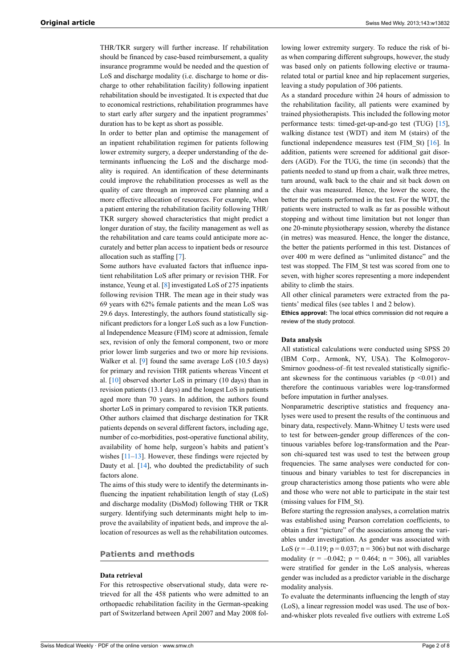THR/TKR surgery will further increase. If rehabilitation should be financed by case-based reimbursement, a quality insurance programme would be needed and the question of LoS and discharge modality (i.e. discharge to home or discharge to other rehabilitation facility) following inpatient rehabilitation should be investigated. It is expected that due to economical restrictions, rehabilitation programmes have to start early after surgery and the inpatient programmes' duration has to be kept as short as possible.

In order to better plan and optimise the management of an inpatient rehabilitation regimen for patients following lower extremity surgery, a deeper understanding of the determinants influencing the LoS and the discharge modality is required. An identification of these determinants could improve the rehabilitation processes as well as the quality of care through an improved care planning and a more effective allocation of resources. For example, when a patient entering the rehabilitation facility following THR/ TKR surgery showed characteristics that might predict a longer duration of stay, the facility management as well as the rehabilitation and care teams could anticipate more accurately and better plan access to inpatient beds or resource allocation such as staffing [[7](#page-5-6)].

Some authors have evaluated factors that influence inpatient rehabilitation LoS after primary or revision THR. For instance, Yeung et al. [[8](#page-5-7)] investigated LoS of 275 inpatients following revision THR. The mean age in their study was 69 years with 62% female patients and the mean LoS was 29.6 days. Interestingly, the authors found statistically significant predictors for a longer LoS such as a low Functional Independence Measure (FIM) score at admission, female sex, revision of only the femoral component, two or more prior lower limb surgeries and two or more hip revisions. Walker et al. [[9](#page-5-8)] found the same average LoS (10.5 days) for primary and revision THR patients whereas Vincent et al. [\[10](#page-5-9)] observed shorter LoS in primary (10 days) than in revision patients (13.1 days) and the longest LoS in patients aged more than 70 years. In addition, the authors found shorter LoS in primary compared to revision TKR patients. Other authors claimed that discharge destination for TKR patients depends on several different factors, including age, number of co-morbidities, post-operative functional ability, availability of home help, surgeon's habits and patient's wishes [\[11](#page-5-10)[–13](#page-5-11)]. However, these findings were rejected by Dauty et al.  $[14]$  $[14]$ , who doubted the predictability of such factors alone.

The aims of this study were to identify the determinants influencing the inpatient rehabilitation length of stay (LoS) and discharge modality (DisMod) following THR or TKR surgery. Identifying such determinants might help to improve the availability of inpatient beds, and improve the allocation of resources as well as the rehabilitation outcomes.

# **Patients and methods**

# **Data retrieval**

For this retrospective observational study, data were retrieved for all the 458 patients who were admitted to an orthopaedic rehabilitation facility in the German-speaking part of Switzerland between April 2007 and May 2008 fol-

lowing lower extremity surgery. To reduce the risk of bias when comparing different subgroups, however, the study was based only on patients following elective or traumarelated total or partial knee and hip replacement surgeries, leaving a study population of 306 patients.

As a standard procedure within 24 hours of admission to the rehabilitation facility, all patients were examined by trained physiotherapists. This included the following motor performance tests: timed-get-up-and-go test (TUG) [[15\]](#page-5-13), walking distance test (WDT) and item M (stairs) of the functional independence measures test (FIM St) [[16\]](#page-5-14). In addition, patients were screened for additional gait disorders (AGD). For the TUG, the time (in seconds) that the patients needed to stand up from a chair, walk three metres, turn around, walk back to the chair and sit back down on the chair was measured. Hence, the lower the score, the better the patients performed in the test. For the WDT, the patients were instructed to walk as far as possible without stopping and without time limitation but not longer than one 20-minute physiotherapy session, whereby the distance (in metres) was measured. Hence, the longer the distance, the better the patients performed in this test. Distances of over 400 m were defined as "unlimited distance" and the test was stopped. The FIM\_St test was scored from one to seven, with higher scores representing a more independent ability to climb the stairs.

All other clinical parameters were extracted from the patients' medical files (see tables 1 and 2 below).

**Ethics approval:** The local ethics commission did not require a review of the study protocol.

#### **Data analysis**

All statistical calculations were conducted using SPSS 20 (IBM Corp., Armonk, NY, USA). The Kolmogorov-Smirnov goodness-of–fit test revealed statistically significant skewness for the continuous variables ( $p \le 0.01$ ) and therefore the continuous variables were log-transformed before imputation in further analyses.

Nonparametric descriptive statistics and frequency analyses were used to present the results of the continuous and binary data, respectively. Mann-Whitney U tests were used to test for between-gender group differences of the continuous variables before log-transformation and the Pearson chi-squared test was used to test the between group frequencies. The same analyses were conducted for continuous and binary variables to test for discrepancies in group characteristics among those patients who were able and those who were not able to participate in the stair test (missing values for FIM\_St).

Before starting the regression analyses, a correlation matrix was established using Pearson correlation coefficients, to obtain a first "picture" of the associations among the variables under investigation. As gender was associated with LoS ( $r = -0.119$ ;  $p = 0.037$ ;  $n = 306$ ) but not with discharge modality ( $r = -0.042$ ;  $p = 0.464$ ;  $n = 306$ ), all variables were stratified for gender in the LoS analysis, whereas gender was included as a predictor variable in the discharge modality analysis.

To evaluate the determinants influencing the length of stay (LoS), a linear regression model was used. The use of boxand-whisker plots revealed five outliers with extreme LoS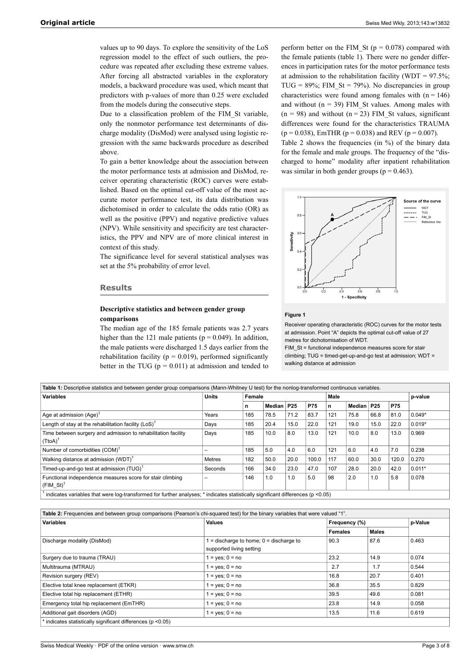values up to 90 days. To explore the sensitivity of the LoS regression model to the effect of such outliers, the procedure was repeated after excluding these extreme values. After forcing all abstracted variables in the exploratory models, a backward procedure was used, which meant that predictors with p-values of more than 0.25 were excluded from the models during the consecutive steps.

Due to a classification problem of the FIM\_St variable, only the nonmotor performance test determinants of discharge modality (DisMod) were analysed using logistic regression with the same backwards procedure as described above.

To gain a better knowledge about the association between the motor performance tests at admission and DisMod, receiver operating characteristic (ROC) curves were established. Based on the optimal cut-off value of the most accurate motor performance test, its data distribution was dichotomised in order to calculate the odds ratio (OR) as well as the positive (PPV) and negative predictive values (NPV). While sensitivity and specificity are test characteristics, the PPV and NPV are of more clinical interest in context of this study.

The significance level for several statistical analyses was set at the 5% probability of error level.

# **Results**

# **Descriptive statistics and between gender group comparisons**

The median age of the 185 female patients was 2.7 years higher than the 121 male patients ( $p = 0.049$ ). In addition, the male patients were discharged 1.5 days earlier from the rehabilitation facility ( $p = 0.019$ ), performed significantly better in the TUG ( $p = 0.011$ ) at admission and tended to

perform better on the FIM\_St ( $p = 0.078$ ) compared with the female patients (table 1). There were no gender differences in participation rates for the motor performance tests at admission to the rehabilitation facility (WDT =  $97.5\%$ ; TUG =  $89\%$ ; FIM St = 79%). No discrepancies in group characteristics were found among females with  $(n = 146)$ and without  $(n = 39)$  FIM St values. Among males with  $(n = 98)$  and without  $(n = 23)$  FIM St values, significant differences were found for the characteristics TRAUMA  $(p = 0.038)$ , EmTHR  $(p = 0.038)$  and REV  $(p = 0.007)$ .

Table 2 shows the frequencies (in %) of the binary data for the female and male groups. The frequency of the "discharged to home" modality after inpatient rehabilitation was similar in both gender groups ( $p = 0.463$ ).



#### **Figure 1**

Receiver operating characteristic (ROC) curves for the motor tests at admission. Point "A" depicts the optimal cut-off value of 27 metres for dichotomisation of WDT.

FIM St = functional independence measures score for stair climbing; TUG = timed-get-up-and-go test at admission; WDT = walking distance at admission

| Table 1: Descriptive statistics and between gender group comparisons (Mann-Whitney U test) for the nonlog-transformed continuous variables. |         |        |            |      |            |      |                   |            |            |          |
|---------------------------------------------------------------------------------------------------------------------------------------------|---------|--------|------------|------|------------|------|-------------------|------------|------------|----------|
| <b>Variables</b>                                                                                                                            | Units   | Female |            |      |            | Male |                   |            | p-value    |          |
|                                                                                                                                             |         | n      | Median P25 |      | <b>P75</b> | n    | Median            | <b>P25</b> | <b>P75</b> |          |
| Age at admission $(Aqe)^1$                                                                                                                  | Years   | 185    | 78.5       | 71.2 | 83.7       | 121  | 75.8              | 66.8       | 81.0       | $0.049*$ |
| Length of stay at the rehabilitation facility $(LoS)^T$                                                                                     | Days    | 185    | 20.4       | 15.0 | 22.0       | 121  | 19.0              | 15.0       | 22.0       | $0.019*$ |
| Time between surgery and admission to rehabilitation facility<br>$(TtoA)^1$                                                                 | Days    | 185    | 10.0       | 8.0  | 13.0       | 121  | 10.0 <sub>1</sub> | 8.0        | 13.0       | 0.969    |
| Number of comorbidities (COM) <sup>1</sup>                                                                                                  |         | 185    | 5.0        | 4.0  | 6.0        | 121  | 6.0               | 4.0        | 7.0        | 0.238    |
| Walking distance at admission (WDT) <sup>1</sup>                                                                                            | Metres  | 182    | 50.0       | 20.0 | 100.0      | 117  | 60.0              | 30.0       | 120.0      | 0.270    |
| Timed-up-and-go test at admission (TUG) <sup>1</sup>                                                                                        | Seconds | 166    | 34.0       | 23.0 | 47.0       | 107  | 28.0              | 20.0       | 42.0       | $0.011*$ |
| Functional independence measures score for stair climbing<br>$(FIM St)^T$                                                                   |         | 146    | 1.0        | 1.0  | 5.0        | 98   | 2.0               | 1.0        | 5.8        | 0.078    |
| indicates variables that were log-transformed for further analyses; * indicates statistically significant differences (p <0.05)             |         |        |            |      |            |      |                   |            |            |          |

| Table 2: Frequencies and between group comparisons (Pearson's chi-squared test) for the binary variables that were valued "1". |                                                                       |                |              |         |  |  |  |
|--------------------------------------------------------------------------------------------------------------------------------|-----------------------------------------------------------------------|----------------|--------------|---------|--|--|--|
| <b>Variables</b>                                                                                                               | <b>Values</b><br>Frequency (%)                                        |                |              | p-Value |  |  |  |
|                                                                                                                                |                                                                       | <b>Females</b> | <b>Males</b> |         |  |  |  |
| Discharge modality (DisMod)                                                                                                    | $=$ discharge to home; $0 =$ discharge to<br>supported living setting | 90.3           | 87.6         | 0.463   |  |  |  |
| Surgery due to trauma (TRAU)                                                                                                   | $=$ yes; $0 =$ no                                                     | 23.2           | 14.9         | 0.074   |  |  |  |
| Multitrauma (MTRAU)                                                                                                            | $=$ yes; $0 =$ no                                                     | 2.7            | 1.7          | 0.544   |  |  |  |
| Revision surgery (REV)                                                                                                         | $=$ yes; $0 =$ no                                                     | 16.8           | 20.7         | 0.401   |  |  |  |
| Elective total knee replacement (ETKR)                                                                                         | $=$ yes; $0 =$ no                                                     | 36.8           | 35.5         | 0.829   |  |  |  |
| Elective total hip replacement (ETHR)                                                                                          | $=$ yes; $0 =$ no                                                     | 39.5           | 49.6         | 0.081   |  |  |  |
| Emergency total hip replacement (EmTHR)                                                                                        | $=$ yes; $0 =$ no                                                     | 23.8           | 14.9         | 0.058   |  |  |  |
| Additional gait disorders (AGD)                                                                                                | $=$ yes; $0 =$ no                                                     | 13.5           | 11.6         | 0.619   |  |  |  |
| * indicates statistically significant differences (p < 0.05)                                                                   |                                                                       |                |              |         |  |  |  |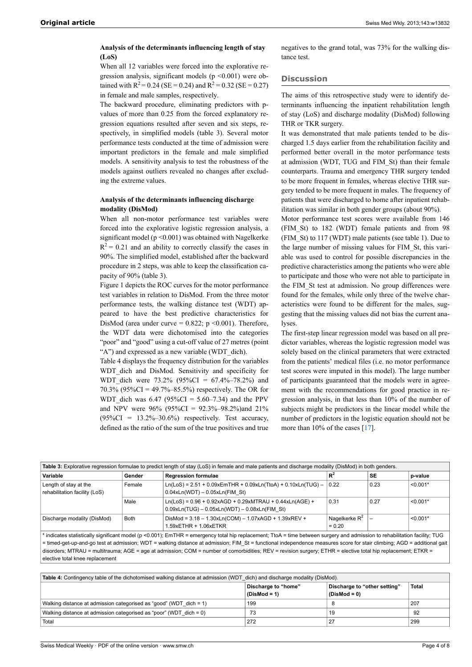# **Analysis of the determinants influencing length of stay (LoS)**

When all 12 variables were forced into the explorative regression analysis, significant models ( $p \le 0.001$ ) were obtained with  $R^2 = 0.24$  (SE = 0.24) and  $R^2 = 0.32$  (SE = 0.27) in female and male samples, respectively.

The backward procedure, eliminating predictors with pvalues of more than 0.25 from the forced explanatory regression equations resulted after seven and six steps, respectively, in simplified models (table 3). Several motor performance tests conducted at the time of admission were important predictors in the female and male simplified models. A sensitivity analysis to test the robustness of the models against outliers revealed no changes after excluding the extreme values.

# **Analysis of the determinants influencing discharge modality (DisMod)**

When all non-motor performance test variables were forced into the explorative logistic regression analysis, a significant model ( $p \le 0.001$ ) was obtained with Nagelkerke  $R<sup>2</sup> = 0.21$  and an ability to correctly classify the cases in 90%. The simplified model, established after the backward procedure in 2 steps, was able to keep the classification capacity of 90% (table 3).

Figure 1 depicts the ROC curves for the motor performance test variables in relation to DisMod. From the three motor performance tests, the walking distance test (WDT) appeared to have the best predictive characteristics for DisMod (area under curve =  $0.822$ ; p < 0.001). Therefore, the WDT data were dichotomised into the categories "poor" and "good" using a cut-off value of 27 metres (point "A") and expressed as a new variable (WDT\_dich).

Table 4 displays the frequency distribution for the variables WDT dich and DisMod. Sensitivity and specificity for WDT dich were  $73.2\%$  (95%CI = 67.4%–78.2%) and 70.3% (95%CI = 49.7%–85.5%) respectively. The OR for WDT dich was  $6.47$  (95%CI = 5.60–7.34) and the PPV and NPV were 96% (95%CI = 92.3%–98.2%)and 21%  $(95\%CI = 13.2\% - 30.6\%)$  respectively. Test accuracy, defined as the ratio of the sum of the true positives and true negatives to the grand total, was 73% for the walking distance test.

# **Discussion**

The aims of this retrospective study were to identify determinants influencing the inpatient rehabilitation length of stay (LoS) and discharge modality (DisMod) following THR or TKR surgery.

It was demonstrated that male patients tended to be discharged 1.5 days earlier from the rehabilitation facility and performed better overall in the motor performance tests at admission (WDT, TUG and FIM\_St) than their female counterparts. Trauma and emergency THR surgery tended to be more frequent in females, whereas elective THR surgery tended to be more frequent in males. The frequency of patients that were discharged to home after inpatient rehabilitation was similar in both gender groups (about 90%).

Motor performance test scores were available from 146 (FIM\_St) to 182 (WDT) female patients and from 98 (FIM\_St) to 117 (WDT) male patients (see table 1). Due to the large number of missing values for FIM\_St, this variable was used to control for possible discrepancies in the predictive characteristics among the patients who were able to participate and those who were not able to participate in the FIM\_St test at admission. No group differences were found for the females, while only three of the twelve characteristics were found to be different for the males, suggesting that the missing values did not bias the current analyses.

The first-step linear regression model was based on all predictor variables, whereas the logistic regression model was solely based on the clinical parameters that were extracted from the patients' medical files (i.e. no motor performance test scores were imputed in this model). The large number of participants guaranteed that the models were in agreement with the recommendations for good practice in regression analysis, in that less than 10% of the number of subjects might be predictors in the linear model while the number of predictors in the logistic equation should not be more than 10% of the cases [[17](#page-5-15)].

| Table 3: Explorative regression formulae to predict length of stay (LoS) in female and male patients and discharge modality (DisMod) in both genders.                                      |             |                                                                                                              |                                         |           |            |  |
|--------------------------------------------------------------------------------------------------------------------------------------------------------------------------------------------|-------------|--------------------------------------------------------------------------------------------------------------|-----------------------------------------|-----------|------------|--|
| Variable                                                                                                                                                                                   | Gender      | <b>Regression formulae</b>                                                                                   | $R^2$                                   | <b>SE</b> | p-value    |  |
| Length of stay at the<br>rehabilitation facility (LoS)                                                                                                                                     | Female      | $Ln(LoS) = 2.51 + 0.09xE mTHR + 0.09xLn(TtoA) + 0.10xLn(TUG) - 0.22$<br>$0.04xLn(WDT) - 0.05xLn(FIM St)$     |                                         | 0.23      | $< 0.001*$ |  |
|                                                                                                                                                                                            | Male        | $Ln(LoS) = 0.96 + 0.92xAGD + 0.29xMTRAU + 0.44xLn(AGE) +$<br>$0.09xLn(TUG) - 0.05xLn(WDT) - 0.08xLn(FIM St)$ | 0.31                                    | 0.27      | $< 0.001*$ |  |
| Discharge modality (DisMod)                                                                                                                                                                | <b>Both</b> | DisMod = 3.18 - 1.30xLn(COM) - 1.07xAGD + 1.39xREV +<br>1.59xETHR + 1.06xETKR                                | $\sqrt{ }$ Nagelkerke $R^2$<br>$= 0.20$ |           | $< 0.001*$ |  |
| $*$ indicates atotictically ejenificant model (n $\times$ 0.001); EmTUD = emergency total bin repleasment; Tto A = time between euroop urgeny and edmination to rebeblitation feelity; TUC |             |                                                                                                              |                                         |           |            |  |

indicates statistically significant model (p <0.001); EmTHR = emergency total hip replacement; TtoA = time between surgery and admission to rehabilitation facility; TUG = timed-get-up-and-go test at admission; WDT = walking distance at admission; FIM\_St = functional independence measures score for stair climbing; AGD = additional gait disorders; MTRAU = multitrauma; AGE = age at admission; COM = number of comorbidities; REV = revision surgery; ETHR = elective total hip replacement; ETKR = elective total knee replacement

| Table 4: Contingency table of the dichotomised walking distance at admission (WDT dich) and discharge modality (DisMod). |                                       |                                                       |       |  |  |  |
|--------------------------------------------------------------------------------------------------------------------------|---------------------------------------|-------------------------------------------------------|-------|--|--|--|
|                                                                                                                          | Discharge to "home"<br>$(DisMod = 1)$ | <b>Discharge to "other setting"</b><br>$(DisMod = 0)$ | Total |  |  |  |
| Walking distance at admission categorised as "good" (WDT dich = 1)                                                       | 199                                   |                                                       | 207   |  |  |  |
| Walking distance at admission categorised as "poor" (WDT dich = 0)                                                       | 73                                    | 19                                                    | 92    |  |  |  |
| Total                                                                                                                    | 272                                   | 27                                                    | 299   |  |  |  |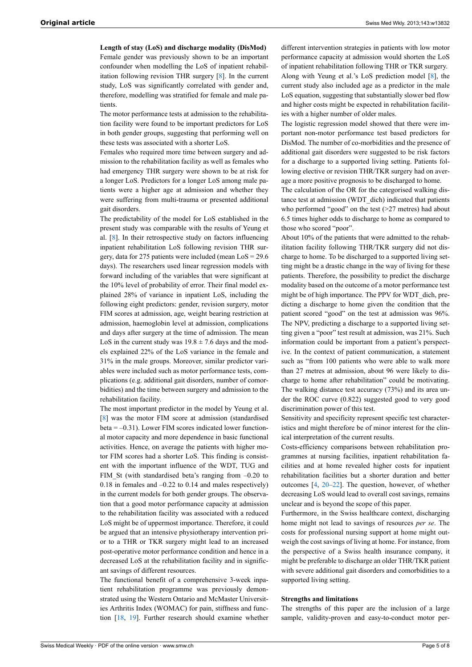**Length of stay (LoS) and discharge modality (DisMod)**

Female gender was previously shown to be an important confounder when modelling the LoS of inpatient rehabilitation following revision THR surgery [[8](#page-5-7)]. In the current study, LoS was significantly correlated with gender and, therefore, modelling was stratified for female and male patients.

The motor performance tests at admission to the rehabilitation facility were found to be important predictors for LoS in both gender groups, suggesting that performing well on these tests was associated with a shorter LoS.

Females who required more time between surgery and admission to the rehabilitation facility as well as females who had emergency THR surgery were shown to be at risk for a longer LoS. Predictors for a longer LoS among male patients were a higher age at admission and whether they were suffering from multi-trauma or presented additional gait disorders.

The predictability of the model for LoS established in the present study was comparable with the results of Yeung et al. [\[8\]](#page-5-7). In their retrospective study on factors influencing inpatient rehabilitation LoS following revision THR surgery, data for 275 patients were included (mean LoS = 29.6 days). The researchers used linear regression models with forward including of the variables that were significant at the 10% level of probability of error. Their final model explained 28% of variance in inpatient LoS, including the following eight predictors: gender, revision surgery, motor FIM scores at admission, age, weight bearing restriction at admission, haemoglobin level at admission, complications and days after surgery at the time of admission. The mean LoS in the current study was  $19.8 \pm 7.6$  days and the models explained 22% of the LoS variance in the female and 31% in the male groups. Moreover, similar predictor variables were included such as motor performance tests, complications (e.g. additional gait disorders, number of comorbidities) and the time between surgery and admission to the rehabilitation facility.

The most important predictor in the model by Yeung et al. [\[8\]](#page-5-7) was the motor FIM score at admission (standardised  $beta = -0.31$ ). Lower FIM scores indicated lower functional motor capacity and more dependence in basic functional activities. Hence, on average the patients with higher motor FIM scores had a shorter LoS. This finding is consistent with the important influence of the WDT, TUG and FIM St (with standardised beta's ranging from  $-0.20$  to 0.18 in females and –0.22 to 0.14 and males respectively) in the current models for both gender groups. The observation that a good motor performance capacity at admission to the rehabilitation facility was associated with a reduced LoS might be of uppermost importance. Therefore, it could be argued that an intensive physiotherapy intervention prior to a THR or TKR surgery might lead to an increased post-operative motor performance condition and hence in a decreased LoS at the rehabilitation facility and in significant savings of different resources.

The functional benefit of a comprehensive 3-week inpatient rehabilitation programme was previously demonstrated using the Western Ontario and McMaster Universities Arthritis Index (WOMAC) for pain, stiffness and function [\[18](#page-5-16), [19\]](#page-6-0). Further research should examine whether

different intervention strategies in patients with low motor performance capacity at admission would shorten the LoS of inpatient rehabilitation following THR or TKR surgery. Along with Yeung et al.'s LoS prediction model [[8](#page-5-7)], the current study also included age as a predictor in the male LoS equation, suggesting that substantially slower bed flow and higher costs might be expected in rehabilitation facilities with a higher number of older males.

The logistic regression model showed that there were important non-motor performance test based predictors for DisMod. The number of co-morbidities and the presence of additional gait disorders were suggested to be risk factors for a discharge to a supported living setting. Patients following elective or revision THR/TKR surgery had on average a more positive prognosis to be discharged to home.

The calculation of the OR for the categorised walking distance test at admission (WDT\_dich) indicated that patients who performed "good" on the test (>27 metres) had about 6.5 times higher odds to discharge to home as compared to those who scored "poor".

About 10% of the patients that were admitted to the rehabilitation facility following THR/TKR surgery did not discharge to home. To be discharged to a supported living setting might be a drastic change in the way of living for these patients. Therefore, the possibility to predict the discharge modality based on the outcome of a motor performance test might be of high importance. The PPV for WDT dich, predicting a discharge to home given the condition that the patient scored "good" on the test at admission was 96%. The NPV, predicting a discharge to a supported living setting given a "poor" test result at admission, was 21%. Such information could be important from a patient's perspective. In the context of patient communication, a statement such as "from 100 patients who were able to walk more than 27 metres at admission, about 96 were likely to discharge to home after rehabilitation" could be motivating. The walking distance test accuracy (73%) and its area under the ROC curve (0.822) suggested good to very good discrimination power of this test.

Sensitivity and specificity represent specific test characteristics and might therefore be of minor interest for the clinical interpretation of the current results.

Costs-efficiency comparisons between rehabilitation programmes at nursing facilities, inpatient rehabilitation facilities and at home revealed higher costs for inpatient rehabilitation facilities but a shorter duration and better outcomes [[4](#page-5-3), [20–22](#page-6-1)]. The question, however, of whether decreasing LoS would lead to overall cost savings, remains unclear and is beyond the scope of this paper.

Furthermore, in the Swiss healthcare context, discharging home might not lead to savings of resources *per se*. The costs for professional nursing support at home might outweigh the cost savings of living at home. For instance, from the perspective of a Swiss health insurance company, it might be preferable to discharge an older THR/TKR patient with severe additional gait disorders and comorbidities to a supported living setting.

## **Strengths and limitations**

The strengths of this paper are the inclusion of a large sample, validity-proven and easy-to-conduct motor per-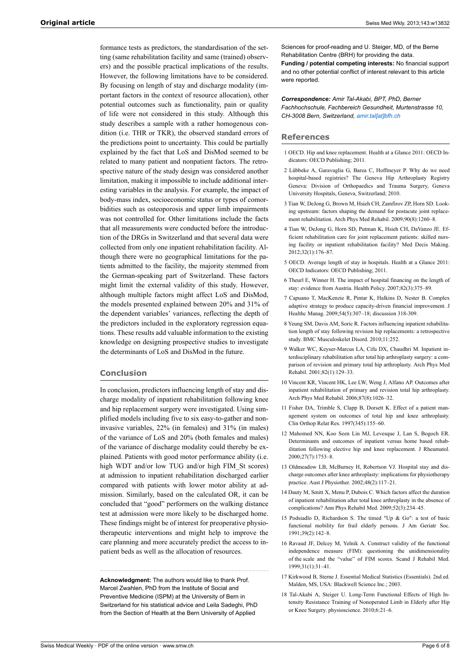<span id="page-5-2"></span><span id="page-5-1"></span><span id="page-5-0"></span>formance tests as predictors, the standardisation of the setting (same rehabilitation facility and same (trained) observers) and the possible practical implications of the results. However, the following limitations have to be considered. By focusing on length of stay and discharge modality (important factors in the context of resource allocation), other potential outcomes such as functionality, pain or quality of life were not considered in this study. Although this study describes a sample with a rather homogenous condition (i.e. THR or TKR), the observed standard errors of the predictions point to uncertainty. This could be partially explained by the fact that LoS and DisMod seemed to be related to many patient and nonpatient factors. The retrospective nature of the study design was considered another limitation, making it impossible to include additional interesting variables in the analysis. For example, the impact of body-mass index, socioeconomic status or types of comorbidities such as osteoporosis and upper limb impairments was not controlled for. Other limitations include the facts that all measurements were conducted before the introduction of the DRGs in Switzerland and that several data were collected from only one inpatient rehabilitation facility. Although there were no geographical limitations for the patients admitted to the facility, the majority stemmed from the German-speaking part of Switzerland. These factors might limit the external validity of this study. However, although multiple factors might affect LoS and DisMod, the models presented explained between 20% and 31% of the dependent variables' variances, reflecting the depth of the predictors included in the exploratory regression equations. These results add valuable information to the existing knowledge on designing prospective studies to investigate the determinants of LoS and DisMod in the future.

# <span id="page-5-8"></span><span id="page-5-7"></span><span id="page-5-6"></span><span id="page-5-5"></span><span id="page-5-4"></span><span id="page-5-3"></span>**Conclusion**

<span id="page-5-11"></span><span id="page-5-10"></span><span id="page-5-9"></span>In conclusion, predictors influencing length of stay and discharge modality of inpatient rehabilitation following knee and hip replacement surgery were investigated. Using simplified models including five to six easy-to-gather and noninvasive variables, 22% (in females) and 31% (in males) of the variance of LoS and 20% (both females and males) of the variance of discharge modality could thereby be explained. Patients with good motor performance ability (i.e. high WDT and/or low TUG and/or high FIM St scores) at admission to inpatient rehabilitation discharged earlier compared with patients with lower motor ability at admission. Similarly, based on the calculated OR, it can be concluded that "good" performers on the walking distance test at admission were more likely to be discharged home. These findings might be of interest for preoperative physiotherapeutic interventions and might help to improve the care planning and more accurately predict the access to inpatient beds as well as the allocation of resources.

<span id="page-5-16"></span><span id="page-5-15"></span><span id="page-5-14"></span><span id="page-5-13"></span><span id="page-5-12"></span>**Acknowledgment:** The authors would like to thank Prof. Marcel Zwahlen, PhD from the Institute of Social and Preventive Medicine (ISPM) at the University of Bern in Switzerland for his statistical advice and Leila Sadeghi, PhD from the Section of Health at the Bern University of Applied

Sciences for proof-reading and U. Steiger, MD, of the Berne Rehabilitation Centre (BRH) for providing the data. **Funding / potential competing interests:** No financial support and no other potential conflict of interest relevant to this article were reported.

*Correspondence: Amir Tal-Akabi, BPT, PhD, Berner Fachhochschule, Fachbereich Gesundheit, Murtenstrasse 10, CH-3008 Bern, Switzerland, [amir.tal\[at\]bfh.ch](mailto:amir.tal@bfh.ch)*

# **References**

- 1 OECD. Hip and knee replacement. Health at a Glance 2011: OECD Indicators: OECD Publishing; 2011.
- 2 Lübbeke A, Garavaglia G, Barea C, Hoffmeyer P. Why do we need hospital-based registries? The Geneva Hip Arthroplasty Registry Geneva: Division of Orthopaedics and Trauma Surgery, Geneva University Hospitals, Geneva, Switzerland; 2010.
- 3 Tian W, DeJong G, Brown M, Hsieh CH, Zamfirov ZP, Horn SD. Looking upstream: factors shaping the demand for postacute joint replacement rehabilitation. Arch Phys Med Rehabil. 2009;90(8):1260–8.
- 4 Tian W, DeJong G, Horn SD, Putman K, Hsieh CH, DaVanzo JE. Efficient rehabilitation care for joint replacement patients: skilled nursing facility or inpatient rehabilitation facility? Med Decis Making. 2012;32(1):176–87.
- 5 OECD. Average length of stay in hospitals. Health at a Glance 2011: OECD Indicators: OECD Publishing; 2011.
- 6 Theurl E, Winner H. The impact of hospital financing on the length of stay: evidence from Austria. Health Policy. 2007;82(3):375–89.
- 7 Capuano T, MacKenzie R, Pintar K, Halkins D, Nester B. Complex adaptive strategy to produce capacity-driven financial improvement. J Healthc Manag. 2009;54(5):307–18; discussion 318-309.
- 8 Yeung SM, Davis AM, Soric R. Factors influencing inpatient rehabilitation length of stay following revision hip replacements: a retrospective study. BMC Musculoskelet Disord. 2010;11:252.
- 9 Walker WC, Keyser-Marcus LA, Cifu DX, Chaudhri M. Inpatient interdisciplinary rehabilitation after total hip arthroplasty surgery: a comparison of revision and primary total hip arthroplasty. Arch Phys Med Rehabil. 2001;82(1):129–33.
- 10 Vincent KR, Vincent HK, Lee LW, Weng J, Alfano AP. Outcomes after inpatient rehabilitation of primary and revision total hip arthroplasty. Arch Phys Med Rehabil. 2006;87(8):1026–32.
- 11 Fisher DA, Trimble S, Clapp B, Dorsett K. Effect of a patient management system on outcomes of total hip and knee arthroplasty. Clin Orthop Relat Res. 1997(345):155–60.
- 12 Mahomed NN, Koo Seen Lin MJ, Levesque J, Lan S, Bogoch ER. Determinants and outcomes of inpatient versus home based rehabilitation following elective hip and knee replacement. J Rheumatol. 2000;27(7):1753–8.
- 13 Oldmeadow LB, McBurney H, Robertson VJ. Hospital stay and discharge outcomes after knee arthroplasty: implications for physiotherapy practice. Aust J Physiother. 2002;48(2):117–21.
- 14 Dauty M, Smitt X, Menu P, Dubois C. Which factors affect the duration of inpatient rehabilitation after total knee arthroplasty in the absence of complications? Ann Phys Rehabil Med. 2009;52(3):234–45.
- 15 Podsiadlo D, Richardson S. The timed "Up & Go": a test of basic functional mobility for frail elderly persons. J Am Geriatr Soc. 1991;39(2):142–8.
- 16 Ravaud JF, Delcey M, Yelnik A. Construct validity of the functional independence measure (FIM): questioning the unidimensionality of the scale and the "value" of FIM scores. Scand J Rehabil Med. 1999;31(1):31–41.
- 17 Kirkwood B, Sterne J. Essential Medical Statistics (Essentials). 2nd ed. Malden, MS, USA: Blackwell Science Inc.; 2003.
- 18 Tal-Akabi A, Steiger U. Long-Term Functional Effects of High Intensity Resistance Training of Nonoperated Limb in Elderly after Hip or Knee Surgery. physioscience. 2010;6:21–6.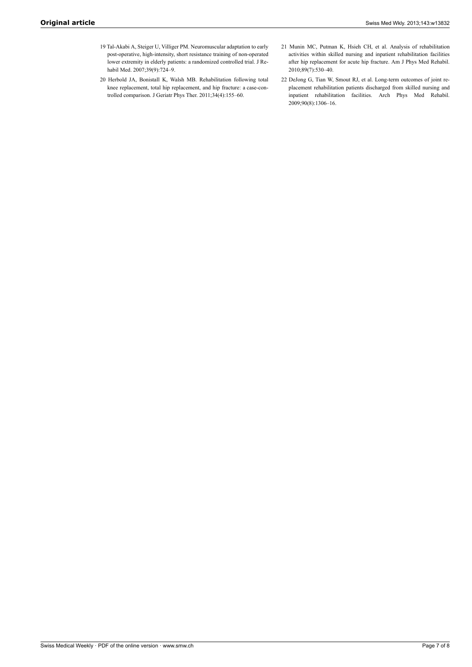- <span id="page-6-0"></span>19 Tal-Akabi A, Steiger U, Villiger PM. Neuromuscular adaptation to early post-operative, high-intensity, short resistance training of non-operated lower extremity in elderly patients: a randomized controlled trial. J Rehabil Med. 2007;39(9):724–9.
- <span id="page-6-1"></span>20 Herbold JA, Bonistall K, Walsh MB. Rehabilitation following total knee replacement, total hip replacement, and hip fracture: a case-controlled comparison. J Geriatr Phys Ther. 2011;34(4):155–60.
- 21 Munin MC, Putman K, Hsieh CH, et al. Analysis of rehabilitation activities within skilled nursing and inpatient rehabilitation facilities after hip replacement for acute hip fracture. Am J Phys Med Rehabil. 2010;89(7):530–40.
- 22 DeJong G, Tian W, Smout RJ, et al. Long-term outcomes of joint replacement rehabilitation patients discharged from skilled nursing and inpatient rehabilitation facilities. Arch Phys Med Rehabil. 2009;90(8):1306–16.